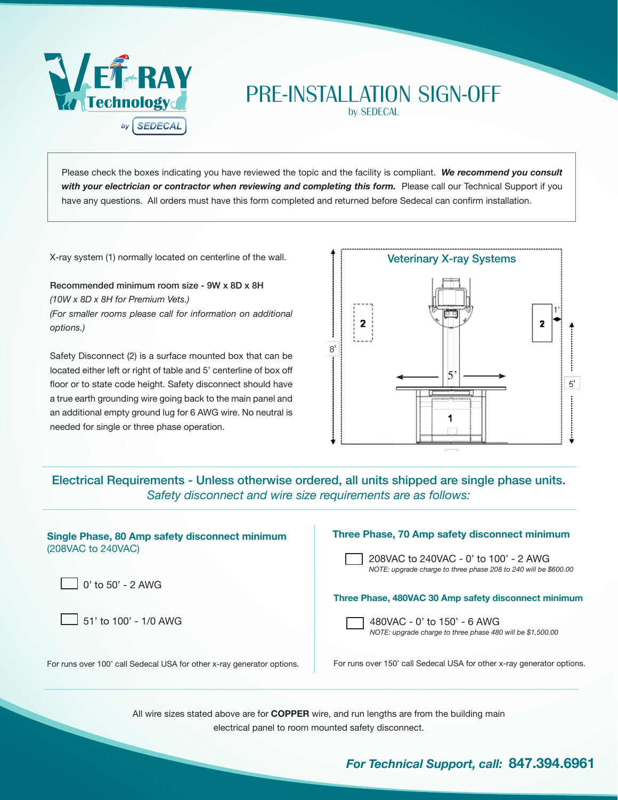

# PRE-INSTALLATION SIGN-OFF

by SEDECAL

Please check the boxes indicating you have reviewed the topic and the facility is compliant. *We recommend you consult with your electrician or contractor when reviewing and completing this form.* Please call our Technical Support if you have any questions. All orders must have this form completed and returned before Sedecal can confirm installation.

X-ray system (1) normally located on centerline of the wall.

Recommended minimum room size - 9W x 8D x 8H *(10W x 8D x 8H for Premium Vets.) (For smaller rooms please call for information on additional options.)*

Safety Disconnect (2) is a surface mounted box that can be located either left or right of table and 5' centerline of box off floor or to state code height. Safety disconnect should have a true earth grounding wire going back to the main panel and an additional empty ground lug for 6 AWG wire. No neutral is needed for single or three phase operation.



Electrical Requirements - Unless otherwise ordered, all units shipped are single phase units. *Safety disconnect and wire size requirements are as follows:*

| Single Phase, 80 Amp safety disconnect minimum<br>(208VAC to 240VAC)   | Three Phase, 70 Amp safety disconnect minimum                                                            |
|------------------------------------------------------------------------|----------------------------------------------------------------------------------------------------------|
|                                                                        | 208VAC to 240VAC - 0' to 100' - 2 AWG<br>NOTE: upgrade charge to three phase 208 to 240 will be \$600.00 |
| $\vert$ 0' to 50' - 2 AWG                                              |                                                                                                          |
|                                                                        | Three Phase, 480VAC 30 Amp safety disconnect minimum                                                     |
| $\Box$ 51' to 100' - 1/0 AWG                                           | 480VAC - 0' to 150' - 6 AWG<br>NOTE: upgrade charge to three phase 480 will be \$1,500.00                |
| For runs over 100' call Sedecal USA for other x-ray generator options. | For runs over 150' call Sedecal USA for other x-ray generator options.                                   |
|                                                                        |                                                                                                          |

All wire sizes stated above are for **COPPER** wire, and run lengths are from the building main electrical panel to room mounted safety disconnect.

## *For Technical Support, call:* **847.394.6961**